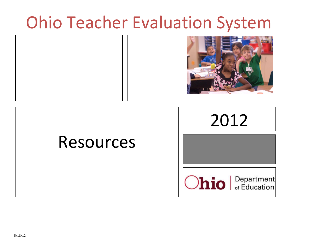# Ohio Teacher Evaluation System

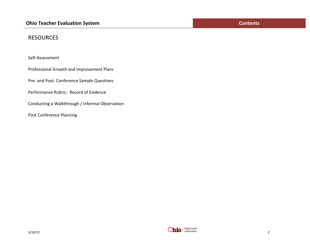## **RESOURCES**

Self-Assessment

Professional Growth and Improvement Plans

Pre- and Post- Conference Sample Questions

Performance Rubric: Record of Evidence

Conducting a Walkthrough / Informal Observation

Post Conference Planning

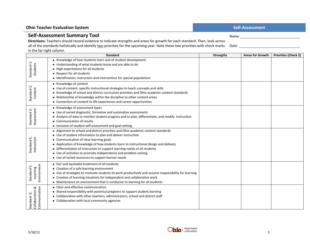## **Ohio Teacher Evaluation System Self-Assessment** Self-Assessment

## **Self-Assessment Summary Tool**

**Directions**: Teachers should record evidence to indicate strengths and areas for growth for each standard. Then, look across all of the standards holistically and identify two priorities for the upcoming year. Note these two priorities with check marks in the far-right column.

| in the farmight column.                         | <b>Standard</b>                                                                                                                                                                                                                                                                                                                                                                                                                                                                                            | <b>Strengths</b> | <b>Areas for Growth</b> | <b>Priorities (Check 2)</b> |
|-------------------------------------------------|------------------------------------------------------------------------------------------------------------------------------------------------------------------------------------------------------------------------------------------------------------------------------------------------------------------------------------------------------------------------------------------------------------------------------------------------------------------------------------------------------------|------------------|-------------------------|-----------------------------|
| Standard 1:<br>Students                         | • Knowledge of how students learn and of student development<br>• Understanding of what students know and are able to do<br>• High expectations for all students<br>• Respect for all students<br>• Identification, instruction and intervention for special populations                                                                                                                                                                                                                                   |                  |                         |                             |
| Standard 2<br>Content                           | • Knowledge of content<br>• Use of content- specific instructional strategies to teach concepts and skills<br>• Knowledge of school and district curriculum priorities and Ohio academic content standards<br>Relationship of knowledge within the discipline to other content areas<br>• Connection of content to life experiences and career opportunities                                                                                                                                               |                  |                         |                             |
| Standard 3:<br>Assessment                       | • Knowledge of assessment types<br>• Use of varied diagnostic, formative and summative assessments<br>Analysis of data to monitor student progress and to plan, differentiate, and modify instruction<br>• Communication of results<br>• Inclusion of student self-assessment and goal-setting                                                                                                                                                                                                             |                  |                         |                             |
| Standard 4:<br>Instruction                      | • Alignment to school and district priorities and Ohio academic content standards<br>• Use of student information to plan and deliver instruction<br>Communication of clear learning goals<br>٠<br>Application of knowledge of how students learn to instructional design and delivery<br>$\bullet$<br>• Differentiation of instruction to support learning needs of all students<br>• Use of activities to promote independence and problem-solving<br>• Use of varied resources to support learner needs |                  |                         |                             |
| Environment<br>Standard 5:<br>Learning          | • Fair and equitable treatment of all students<br>• Creation of a safe learning environment<br>• Use of strategies to motivate students to work productively and assume responsibility for learning<br>• Creation of learning situations for independent and collaborative work<br>• Maintenance an environment that is conducive to learning for all students                                                                                                                                             |                  |                         |                             |
| Standard 6:<br>Collaboration &<br>Communication | • Clear and effective communication<br>• Shared responsibility with parents/caregivers to support student learning<br>Collaboration with other teachers, administrators, school and district staff<br>٠<br>• Collaboration with local community agencies                                                                                                                                                                                                                                                   |                  |                         |                             |



Name

Date and the contract of the contract of the contract of the contract of the contract of the contract of the contract of the contract of the contract of the contract of the contract of the contract of the contract of the c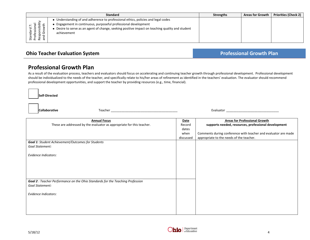|                    | <b>Standard</b>                                                                                                                                                                                                                                                   | <b>Strengths</b> | <b>Areas for Growth</b> | <b>Priorities (Check 2)</b> |
|--------------------|-------------------------------------------------------------------------------------------------------------------------------------------------------------------------------------------------------------------------------------------------------------------|------------------|-------------------------|-----------------------------|
| 三<br>ssic<br>೫ ೬ ๕ | Understanding of and adherence to professional ethics, policies and legal codes<br>Engagement in continuous, purposeful professional development<br>Desire to serve as an agent of change, seeking positive impact on teaching quality and student<br>achievement |                  |                         |                             |

## **Ohio Teacher Evaluation System <b>Professional Growth Plan**

## **Professional Growth Plan**

As a result of the evaluation process, teachers and evaluators should focus on accelerating and continuing teacher growth through professional development. Professional development should be individualized to the needs of the teacher, and specifically relate to his/her areas of refinement as identified in the teachers' evaluation. The evaluator should recommend professional development opportunities, and support the teacher by providing resources (e.g., time, financial).

**Self-Directed**

**Collaborative Teacher** Teacher **Teacher Teacher Teacher Teacher Teacher Teacher Teacher Teacher Teacher Teacher Teacher Teacher Teacher Teacher Teacher Teacher Teacher Teacher Teacher** 

| <b>Annual Focus</b>                                                            | Date      | <b>Areas for Professional Growth</b>                           |
|--------------------------------------------------------------------------------|-----------|----------------------------------------------------------------|
| These are addressed by the evaluator as appropriate for this teacher.          | Record    | supports needed, resources, professional development           |
|                                                                                | dates     |                                                                |
|                                                                                | when      | Comments during conference with teacher and evaluator are made |
|                                                                                | discussed | appropriate to the needs of the teacher.                       |
| Goal 1: Student Achievement/Outcomes for Students                              |           |                                                                |
| Goal Statement:                                                                |           |                                                                |
|                                                                                |           |                                                                |
| <b>Evidence Indicators:</b>                                                    |           |                                                                |
|                                                                                |           |                                                                |
|                                                                                |           |                                                                |
|                                                                                |           |                                                                |
|                                                                                |           |                                                                |
|                                                                                |           |                                                                |
| Goal 2 : Teacher Performance on the Ohio Standards for the Teaching Profession |           |                                                                |
| Goal Statement:                                                                |           |                                                                |
|                                                                                |           |                                                                |
| <b>Evidence Indicators:</b>                                                    |           |                                                                |
|                                                                                |           |                                                                |
|                                                                                |           |                                                                |
|                                                                                |           |                                                                |
|                                                                                |           |                                                                |

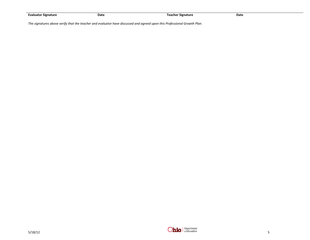| <b>Evaluator Signature</b> | Date | Teacher Signature | Date |
|----------------------------|------|-------------------|------|

*The signatures above verify that the teacher and evaluator have discussed and agreed upon this Professional Growth Plan.*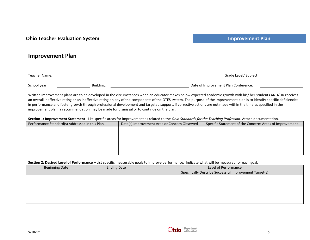## **Improvement Plan**

| Teacher Name: |           | Grade Level/ Subject:                |
|---------------|-----------|--------------------------------------|
|               |           |                                      |
| School year:  | Building: | Date of Improvement Plan Conference: |

Written improvement plans are to be developed in the circumstances when an educator makes below expected academic growth with his/ her students AND/OR receives an overall ineffective rating or an ineffective rating on any of the components of the OTES system. The purpose of the improvement plan is to identify specific deficiencies in performance and foster growth through professional development and targeted support. If corrective actions are not made within the time as specified in the improvement plan, a recommendation may be made for dismissal or to continue on the plan.

**Section 1: Improvement Statement** - List specific areas for improvement as related to the *Ohio Standards for the Teaching Profession*. Attach documentation.

| Performance Standard(s) Addressed in this Plan | Date(s) Improvement Area or Concern Observed | Specific Statement of the Concern: Areas of Improvement |
|------------------------------------------------|----------------------------------------------|---------------------------------------------------------|
|                                                |                                              |                                                         |
|                                                |                                              |                                                         |
|                                                |                                              |                                                         |
|                                                |                                              |                                                         |
|                                                |                                              |                                                         |
|                                                |                                              |                                                         |

#### **Section 2: Desired Level of Performance** – List specific measurable goals to improve performance. Indicate what will be measured for each goal.

| <b>Ending Date</b> | Level of Performance                                   |
|--------------------|--------------------------------------------------------|
|                    | Specifically Describe Successful Improvement Target(s) |
|                    |                                                        |
|                    |                                                        |
|                    |                                                        |
|                    |                                                        |
|                    |                                                        |
|                    |                                                        |
|                    |                                                        |

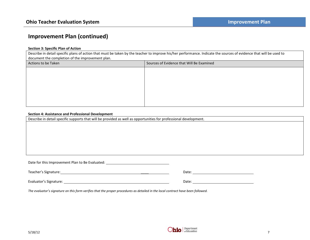## **Improvement Plan (continued)**

### **Section 3: Specific Plan of Action**

Describe in detail specific plans of action that must be taken by the teacher to improve his/her performance. Indicate the sources of evidence that will be used to document the completion of the improvement plan.

| Actions to be Taken | Sources of Evidence that Will Be Examined |
|---------------------|-------------------------------------------|
|                     |                                           |
|                     |                                           |
|                     |                                           |
|                     |                                           |
|                     |                                           |
|                     |                                           |

#### **Section 4: Assistance and Professional Development**

Describe in detail specific supports that will be provided as well as opportunities for professional development.

| Date for this Improvement Plan to Be Evaluated: |       |  |  |  |
|-------------------------------------------------|-------|--|--|--|
|                                                 |       |  |  |  |
| Teacher's Signature:                            | Date: |  |  |  |

Evaluator's Signature: Date:

*The evaluator's signature on this form verifies that the proper procedures as detailed in the local contract have been followed.*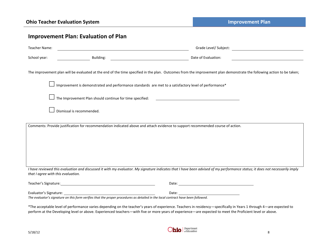| Teacher Name:                      |                                                          | Grade Level/ Subject: William Science Science Science Science Science Science Science Science Science Science                                                                                                                        |
|------------------------------------|----------------------------------------------------------|--------------------------------------------------------------------------------------------------------------------------------------------------------------------------------------------------------------------------------------|
| School year:                       | Building:                                                | <u> 1989 - Johann Barn, fransk politik (</u><br>Date of Evaluation:                                                                                                                                                                  |
|                                    |                                                          | The improvement plan will be evaluated at the end of the time specified in the plan. Outcomes from the improvement plan demonstrate the following action to be taken;                                                                |
|                                    |                                                          | Improvement is demonstrated and performance standards are met to a satisfactory level of performance*                                                                                                                                |
|                                    | The Improvement Plan should continue for time specified: | <u> 1980 - Andrea Andrew Maria (h. 1980).</u>                                                                                                                                                                                        |
|                                    | Dismissal is recommended.                                |                                                                                                                                                                                                                                      |
|                                    |                                                          | Comments: Provide justification for recommendation indicated above and attach evidence to support recommended course of action.                                                                                                      |
|                                    |                                                          |                                                                                                                                                                                                                                      |
| that I agree with this evaluation. |                                                          | I have reviewed this evaluation and discussed it with my evaluator. My signature indicates that I have been advised of my performance status; it does not necessarily imply                                                          |
|                                    |                                                          | Date: <u>and the second contract of the second contract of the second contract of the second contract of the second contract of the second contract of the second contract of the second contract of the second contract of the </u> |
| Evaluator's Signature:             |                                                          | Date:                                                                                                                                                                                                                                |

\*The acceptable level of performance varies depending on the teacher's years of experience. Teachers in residency—specifically in Years 1 through 4—are expected to perform at the Developing level or above. Experienced teachers—with five or more years of experience—are expected to meet the Proficient level or above.

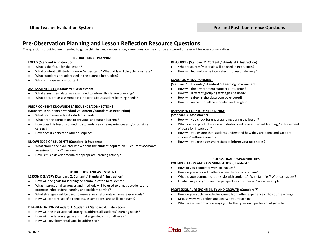## **Pre-Observation Planning and Lesson Reflection Resource Questions**

The questions provided are intended to guide thinking and conversation; every question may not be answered or relevant for every observation.

#### **INSTRUCTIONAL PLANNING**

#### **FOCUS (Standard 4: Instruction**)

- What is the focus for the lesson?
- What content will students know/understand? What skills will they demonstrate?
- What standards are addressed in the planned instruction?  $\bullet$
- Why is this learning important?  $\bullet$

#### **ASSESSMENT DATA (Standard 3: Assessment**)

- What assessment data was examined to inform this lesson planning?
- What does pre-assessment data indicate about student learning needs?  $\bullet$

#### **PRIOR CONTENT KNOWLEDGE/ SEQUENCE/CONNECTIONS**

#### **(Standard 1: Students** / **Standard 2: Content / Standard 4: Instruction)**

- $\bullet$ What prior knowledge do students need?
- What are the connections to previous and future learning?
- How does this lesson connect to students' real-life experiences and/or possible  $\bullet$ careers?
- How does it connect to other disciplines?  $\bullet$

#### **KNOWLEDGE OF STUDENTS (Standard 1: Students)**

- What should the evaluator know about the student population? (See *Data Measures Inventory for the Classroom*)
- How is this a developmentally appropriate learning activity?

#### **INSTRUCTION AND ASSESSMENT**

#### **LESSON DELIVERY (Standard 2: Content / Standard 4: Instruction**)

- How will the goals for learning be communicated to students?
- What instructional strategies and methods will be used to engage students and promote independent learning and problem solving?
- What strategies will be used to make sure all students achieve lesson goals?
- How will content-specific concepts, assumptions, and skills be taught?

#### **DIFFERENTIATION (Standard 1: Students / Standard 4: Instruction**)

- How will the instructional strategies address all students' learning needs?
- How will the lesson engage and challenge students of all levels?  $\bullet$
- How will developmental gaps be addressed?  $\bullet$

#### **RESOURCES (Standard 2: Content / Standard 4: Instruction**)

- What resources/materials will be used in instruction?  $\bullet$
- $\bullet$ How will technology be integrated into lesson delivery?

#### **CLASSROOM ENVIRONMENT**

#### **(Standard 1: Students / Standard 5: Learning Environment**)

- How will the environment support all students?
- $\bullet$ How will different grouping strategies be used?
- $\bullet$ How will safety in the classroom be ensured?
- How will respect for all be modeled and taught?  $\bullet$

#### **ASSESSMENT OF STUDENT LEARNING**

#### **(Standard 3: Assessment)**

- How will you check for understanding during the lesson?  $\bullet$
- What specific products or demonstrations will assess student learning / achievement of goals for instruction?
- $\bullet$ How will you ensure that students understand how they are doing and support students' self-assessment?
- How will you use assessment data to inform your next steps?  $\bullet$

## **PROFESSIONAL RESPONSIBILITIES**

#### **COLLABORATION AND COMMUNICATION (Standard 6)**  $\bullet$

- How do you cooperate with colleagues?
- How do you work with others when there is a problem?
- What is your communication style with students? With families? With colleagues?  $\bullet$
- In what ways do you seek the perspectives of others? Give an example.  $\bullet$

#### **PROFESSIONAL RESPONSIBILITY AND GROWTH (Standard 7)**

- How do you apply knowledge gained from other experiences into your teaching?
- Discuss ways you reflect and analyze your teaching.  $\bullet$
- What are some proactive ways you further your own professional growth? $\bullet$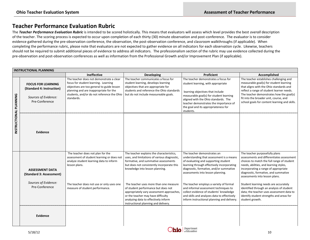## **Teacher Performance Evaluation Rubric**

The *Teacher Performance Evaluation Rubric* is intended to be scored holistically. This means that evaluators will assess which level provides the best *overall* description of the teacher. The scoring process is expected to occur upon completion of each thirty (30) minute observation and post-conference. The evaluator is to consider evidence gathered during the pre-observation conference, the observation, the post-observation conference, and classroom walkthroughs (if applicable). When completing the performance rubric, please note that evaluators are not expected to gather evidence on all indicators for each observation cycle. Likewise, teachers should not be required to submit additional pieces of evidence to address all indicators. The professionalism section of the rubric may use evidence collected during the pre-observation and post-observation conferences as well as information from the Professional Growth and/or Improvement Plan (if applicable).

|                        | <b>INSTRUCTIONAL PLANNING</b>                                                                    |                                                                                                                                                                                                                                      |                                                                                                                                                                                                                                                                                                                                                                                                                                |                                                                                                                                                                                                                                                                                                                                                                                                                                                                            |                                                                                                                                                                                                                                                                                                                                                                                                                                                                                         |  |
|------------------------|--------------------------------------------------------------------------------------------------|--------------------------------------------------------------------------------------------------------------------------------------------------------------------------------------------------------------------------------------|--------------------------------------------------------------------------------------------------------------------------------------------------------------------------------------------------------------------------------------------------------------------------------------------------------------------------------------------------------------------------------------------------------------------------------|----------------------------------------------------------------------------------------------------------------------------------------------------------------------------------------------------------------------------------------------------------------------------------------------------------------------------------------------------------------------------------------------------------------------------------------------------------------------------|-----------------------------------------------------------------------------------------------------------------------------------------------------------------------------------------------------------------------------------------------------------------------------------------------------------------------------------------------------------------------------------------------------------------------------------------------------------------------------------------|--|
|                        |                                                                                                  | <b>Ineffective</b>                                                                                                                                                                                                                   | Developing                                                                                                                                                                                                                                                                                                                                                                                                                     | Proficient                                                                                                                                                                                                                                                                                                                                                                                                                                                                 | Accomplished                                                                                                                                                                                                                                                                                                                                                                                                                                                                            |  |
| INSTRUCTIONAL PLANNING | <b>FOCUS FOR LEARNING</b><br>(Standard 4: Instruction)<br>Sources of Evidence:<br>Pre-Conference | The teacher does not demonstrate a clear<br>focus for student learning. Learning<br>objectives are too general to guide lesson<br>planning and are inappropriate for the<br>students, and/or do not reference the Ohio<br>standards. | The teacher communicates a focus for<br>student learning, develops learning<br>objectives that are appropriate for<br>students and reference the Ohio standards<br>but do not include measureable goals.                                                                                                                                                                                                                       | The teacher demonstrates a focus for<br>student learning, with appropriate<br>learning objectives that include<br>measurable goal(s) for student learning<br>aligned with the Ohio standards. The<br>teacher demonstrates the importance of<br>the goal and its appropriateness for<br>students.                                                                                                                                                                           | The teacher establishes challenging and<br>measurable goal(s) for student learning<br>that aligns with the Ohio standards and<br>reflect a range of student learner needs.<br>The teacher demonstrates how the goal(s)<br>fit into the broader unit, course, and<br>school goals for content learning and skills.                                                                                                                                                                       |  |
|                        | Evidence                                                                                         |                                                                                                                                                                                                                                      |                                                                                                                                                                                                                                                                                                                                                                                                                                |                                                                                                                                                                                                                                                                                                                                                                                                                                                                            |                                                                                                                                                                                                                                                                                                                                                                                                                                                                                         |  |
|                        | <b>ASSESSMENT DATA</b><br>(Standard 3: Assessment)<br>Sources of Evidence:<br>Pre-Conference     | The teacher does not plan for the<br>assessment of student learning or does not<br>analyze student learning data to inform<br>lesson plans.<br>The teacher does not use or only uses one<br>measure of student performance.          | The teacher explains the characteristics,<br>uses, and limitations of various diagnostic,<br>formative, and summative assessments<br>but does not consistently incorporate this<br>knowledge into lesson planning.<br>The teacher uses more than one measure<br>of student performance but does not<br>appropriately vary assessment approaches,<br>or the teacher may have difficulty<br>analyzing data to effectively inform | The teacher demonstrates an<br>understanding that assessment is a means<br>of evaluating and supporting student<br>learning through effectively incorporating<br>diagnostic, formative, and/or summative<br>assessments into lesson planning.<br>The teacher employs a variety of formal<br>and informal assessment techniques to<br>collect evidence of students' knowledge<br>and skills and analyzes data to effectively<br>inform instructional planning and delivery. | The teacher purposefully plans<br>assessments and differentiates assessment<br>choices to match the full range of student<br>needs, abilities, and learning styles,<br>incorporating a range of appropriate<br>diagnostic, formative, and summative<br>assessments into lesson plans.<br>Student learning needs are accurately<br>identified through an analysis of student<br>data; the teacher uses assessment data to<br>identify student strengths and areas for<br>student growth. |  |
|                        | Evidence                                                                                         |                                                                                                                                                                                                                                      | instructional planning and delivery.                                                                                                                                                                                                                                                                                                                                                                                           |                                                                                                                                                                                                                                                                                                                                                                                                                                                                            |                                                                                                                                                                                                                                                                                                                                                                                                                                                                                         |  |

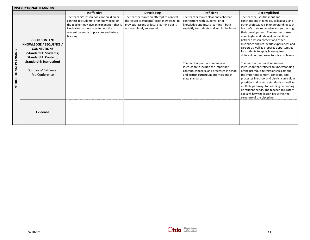|                        | <b>INSTRUCTIONAL PLANNING</b>                                                                                                                                                                       |                                                                                                                                                                                                                                       |                                                                                                                                                                    |                                                                                                                                                                                                                                                                                                                                                           |                                                                                                                                                                                                                                                                                                                                                                                                                                                                                                                                                                                                                                                                                                                                                                                                                                                                                                                |  |  |
|------------------------|-----------------------------------------------------------------------------------------------------------------------------------------------------------------------------------------------------|---------------------------------------------------------------------------------------------------------------------------------------------------------------------------------------------------------------------------------------|--------------------------------------------------------------------------------------------------------------------------------------------------------------------|-----------------------------------------------------------------------------------------------------------------------------------------------------------------------------------------------------------------------------------------------------------------------------------------------------------------------------------------------------------|----------------------------------------------------------------------------------------------------------------------------------------------------------------------------------------------------------------------------------------------------------------------------------------------------------------------------------------------------------------------------------------------------------------------------------------------------------------------------------------------------------------------------------------------------------------------------------------------------------------------------------------------------------------------------------------------------------------------------------------------------------------------------------------------------------------------------------------------------------------------------------------------------------------|--|--|
|                        |                                                                                                                                                                                                     | <b>Ineffective</b>                                                                                                                                                                                                                    | Developing                                                                                                                                                         | Proficient                                                                                                                                                                                                                                                                                                                                                | Accomplished                                                                                                                                                                                                                                                                                                                                                                                                                                                                                                                                                                                                                                                                                                                                                                                                                                                                                                   |  |  |
| INSTRUCTIONAL PLANNING | <b>PRIOR CONTENT</b><br>KNOWLEDGE / SEQUENCE /<br><b>CONNECTIONS</b><br>(Standard 1: Students;<br><b>Standard 2: Content;</b><br>Standard 4: Instruction)<br>Sources of Evidence:<br>Pre-Conference | The teacher's lesson does not build on or<br>connect to students' prior knowledge, or<br>the teacher may give an explanation that is<br>illogical or inaccurate as to how the<br>content connects to previous and future<br>learning. | The teacher makes an attempt to connect<br>the lesson to students' prior knowledge, to<br>previous lessons or future learning but is<br>not completely successful. | The teacher makes clear and coherent<br>connections with students' prior<br>knowledge and future learning-both<br>explicitly to students and within the lesson.<br>The teacher plans and sequences<br>instruction to include the important<br>content, concepts, and processes in school<br>and district curriculum priorities and in<br>state standards. | The teacher uses the input and<br>contributions of families, colleagues, and<br>other professionals in understanding each<br>learner's prior knowledge and supporting<br>their development. The teacher makes<br>meaningful and relevant connections<br>between lesson content and other<br>disciplines and real-world experiences and<br>careers as well as prepares opportunities<br>for students to apply learning from<br>different content areas to solve problems.<br>The teacher plans and sequences<br>instruction that reflects an understanding<br>of the prerequisite relationships among<br>the important content, concepts, and<br>processes in school and district curriculum<br>priorities and in state standards as well as<br>multiple pathways for learning depending<br>on student needs. The teacher accurately<br>explains how the lesson fits within the<br>structure of the discipline. |  |  |
|                        | Evidence                                                                                                                                                                                            |                                                                                                                                                                                                                                       |                                                                                                                                                                    |                                                                                                                                                                                                                                                                                                                                                           |                                                                                                                                                                                                                                                                                                                                                                                                                                                                                                                                                                                                                                                                                                                                                                                                                                                                                                                |  |  |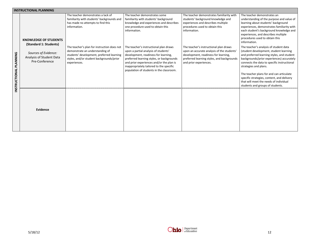|                        | <b>INSTRUCTIONAL PLANNING</b>                                      |                                                                                                                                                                                         |                                                                                                                                                                                                                                                                                                         |                                                                                                                                                                                                      |                                                                                                                                                                                                                                                                                                                                                                                                                             |
|------------------------|--------------------------------------------------------------------|-----------------------------------------------------------------------------------------------------------------------------------------------------------------------------------------|---------------------------------------------------------------------------------------------------------------------------------------------------------------------------------------------------------------------------------------------------------------------------------------------------------|------------------------------------------------------------------------------------------------------------------------------------------------------------------------------------------------------|-----------------------------------------------------------------------------------------------------------------------------------------------------------------------------------------------------------------------------------------------------------------------------------------------------------------------------------------------------------------------------------------------------------------------------|
|                        | <b>KNOWLEDGE OF STUDENTS</b><br>(Standard 1: Students)             | The teacher demonstrates a lack of<br>familiarity with students' backgrounds and<br>has made no attempts to find this<br>information.                                                   | The teacher demonstrates some<br>familiarity with students' background<br>knowledge and experiences and describes<br>one procedure used to obtain this<br>information.                                                                                                                                  | The teacher demonstrates familiarity with<br>students' background knowledge and<br>experiences and describes multiple<br>procedures used to obtain this<br>information.                              | The teacher demonstrates an<br>understanding of the purpose and value of<br>learning about students' background<br>experiences, demonstrates familiarity with<br>each student's background knowledge and<br>experiences, and describes multiple<br>procedures used to obtain this<br>information.                                                                                                                           |
| INSTRUCTIONAL PLANNING | Sources of Evidence:<br>Analysis of Student Data<br>Pre-Conference | The teacher's plan for instruction does not<br>demonstrate an understanding of<br>students' development, preferred learning<br>styles, and/or student backgrounds/prior<br>experiences. | The teacher's instructional plan draws<br>upon a partial analysis of students'<br>development, readiness for learning,<br>preferred learning styles, or backgrounds<br>and prior experiences and/or the plan is<br>inappropriately tailored to the specific<br>population of students in the classroom. | The teacher's instructional plan draws<br>upon an accurate analysis of the students'<br>development, readiness for learning,<br>preferred learning styles, and backgrounds<br>and prior experiences. | The teacher's analysis of student data<br>(student development, student learning<br>and preferred learning styles, and student<br>backgrounds/prior experiences) accurately<br>connects the data to specific instructional<br>strategies and plans.<br>The teacher plans for and can articulate<br>specific strategies, content, and delivery<br>that will meet the needs of individual<br>students and groups of students. |
|                        | Evidence                                                           |                                                                                                                                                                                         |                                                                                                                                                                                                                                                                                                         |                                                                                                                                                                                                      |                                                                                                                                                                                                                                                                                                                                                                                                                             |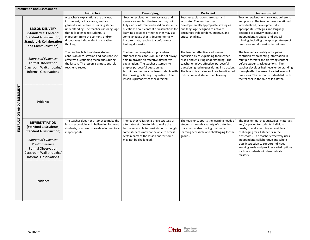|                            | <b>Instruction and Assessment</b>                                                                                                                                                                                     |                                                                                                                                                                                                                                                                                                       |                                                                                                                                                                                                                                                                                                                                          |                                                                                                                                                                                                                                                                                                     |                                                                                                                                                                                                                                                                                                                                                                                                    |
|----------------------------|-----------------------------------------------------------------------------------------------------------------------------------------------------------------------------------------------------------------------|-------------------------------------------------------------------------------------------------------------------------------------------------------------------------------------------------------------------------------------------------------------------------------------------------------|------------------------------------------------------------------------------------------------------------------------------------------------------------------------------------------------------------------------------------------------------------------------------------------------------------------------------------------|-----------------------------------------------------------------------------------------------------------------------------------------------------------------------------------------------------------------------------------------------------------------------------------------------------|----------------------------------------------------------------------------------------------------------------------------------------------------------------------------------------------------------------------------------------------------------------------------------------------------------------------------------------------------------------------------------------------------|
|                            |                                                                                                                                                                                                                       | <b>Ineffective</b>                                                                                                                                                                                                                                                                                    | <b>Developing</b>                                                                                                                                                                                                                                                                                                                        | Proficient                                                                                                                                                                                                                                                                                          | Accomplished                                                                                                                                                                                                                                                                                                                                                                                       |
|                            | <b>LESSON DELIVERY</b><br>(Standard 2: Content;<br><b>Standard 4: Instruction;</b><br><b>Standard 6: Collaboration</b><br>and Communication)                                                                          | A teacher's explanations are unclear,<br>incoherent, or inaccurate, and are<br>generally ineffective in building student<br>understanding. The teacher uses language<br>that fails to engage students, is<br>inappropriate to the content, and/or<br>discourages independent or creative<br>thinking. | Teacher explanations are accurate and<br>generally clear but the teacher may not<br>fully clarify information based on students'<br>questions about content or instructions for<br>learning activities or the teacher may use<br>some language that is developmentally<br>inappropriate, leading to confusion or<br>limiting discussion. | Teacher explanations are clear and<br>accurate. The teacher uses<br>developmentally appropriate strategies<br>and language designed to actively<br>encourage independent, creative, and<br>critical thinking.                                                                                       | Teacher explanations are clear, coherent,<br>and precise. The teacher uses well-timed,<br>individualized, developmentally<br>appropriate strategies and language<br>designed to actively encourage<br>independent, creative, and critical<br>thinking, including the appropriate use of<br>questions and discussion techniques.                                                                    |
|                            | Sources of Evidence:<br><b>Formal Observation</b><br>Classroom Walkthroughs<br><b>Informal Observations</b>                                                                                                           | The teacher fails to address student<br>confusion or frustration and does not use<br>effective questioning techniques during<br>the lesson. The lesson is almost entirely<br>teacher-directed.                                                                                                        | The teacher re-explains topics when<br>students show confusion, but is not always<br>able to provide an effective alternative<br>explanation. The teacher attempts to<br>employ purposeful questioning<br>techniques, but may confuse students with<br>the phrasing or timing of questions. The<br>lesson is primarily teacher-directed. | The teacher effectively addresses<br>confusion by re-explaining topics when<br>asked and ensuring understanding. The<br>teacher employs effective, purposeful<br>questioning techniques during instruction.<br>The lesson is a balance of teacher-directed<br>instruction and student-led learning. | The teacher accurately anticipates<br>confusion by presenting information in<br>multiple formats and clarifying content<br>before students ask questions. The<br>teacher develops high-level understanding<br>through effective uses of varied levels of<br>questions. The lesson is student-led, with<br>the teacher in the role of facilitator.                                                  |
| INSTRUCTION AND ASSESSMENT | Evidence                                                                                                                                                                                                              |                                                                                                                                                                                                                                                                                                       |                                                                                                                                                                                                                                                                                                                                          |                                                                                                                                                                                                                                                                                                     |                                                                                                                                                                                                                                                                                                                                                                                                    |
|                            | <b>DIFFERENTIATION</b><br>(Standard 1: Students;<br><b>Standard 4: Instruction)</b><br>Sources of Evidence:<br>Pre-Conference<br><b>Formal Observation</b><br>Classroom Walkthroughs/<br><b>Informal Observations</b> | The teacher does not attempt to make the<br>lesson accessible and challenging for most<br>students, or attempts are developmentally<br>inappropriate.                                                                                                                                                 | The teacher relies on a single strategy or<br>alternate set of materials to make the<br>lesson accessible to most students though<br>some students may not be able to access<br>certain parts of the lesson and/or some<br>may not be challenged.                                                                                        | The teacher supports the learning needs of<br>students through a variety of strategies,<br>materials, and/or pacing that make<br>learning accessible and challenging for the<br>group                                                                                                               | The teacher matches strategies, materials,<br>and/or pacing to students' individual<br>needs, to make learning accessible and<br>challenging for all students in the<br>classroom. The teacher effectively uses<br>independent, collaborative and whole-<br>class instruction to support individual<br>learning goals and provides varied options<br>for how students will demonstrate<br>mastery. |
|                            | Evidence                                                                                                                                                                                                              |                                                                                                                                                                                                                                                                                                       |                                                                                                                                                                                                                                                                                                                                          |                                                                                                                                                                                                                                                                                                     |                                                                                                                                                                                                                                                                                                                                                                                                    |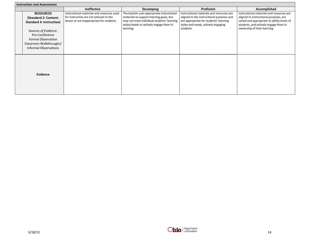| <b>Instruction and Assessment</b>                                                                                                                                                                       |                                                                                                                                    |                                                                                                                                                                                              |                                                                                                                                                                                      |                                                                                                                                                                                                             |
|---------------------------------------------------------------------------------------------------------------------------------------------------------------------------------------------------------|------------------------------------------------------------------------------------------------------------------------------------|----------------------------------------------------------------------------------------------------------------------------------------------------------------------------------------------|--------------------------------------------------------------------------------------------------------------------------------------------------------------------------------------|-------------------------------------------------------------------------------------------------------------------------------------------------------------------------------------------------------------|
|                                                                                                                                                                                                         | <b>Ineffective</b>                                                                                                                 | <b>Developing</b>                                                                                                                                                                            | Proficient                                                                                                                                                                           | Accomplished                                                                                                                                                                                                |
| <b>RESOURCES</b><br>(Standard 2: Content;<br>Standard 4: Instruction)<br>Sources of Evidence:<br>Pre-Conference<br><b>Formal Observation</b><br>Classroom Walkthroughs/<br><b>Informal Observations</b> | Instructional materials and resources used<br>for instruction are not relevant to the<br>lesson or are inappropriate for students. | The teacher uses appropriate instructional<br>materials to support learning goals, but<br>may not meet individual students' learning<br>styles/needs or actively engage them in<br>learning. | Instructional materials and resources are<br>aligned to the instructional purposes and<br>are appropriate for students' learning<br>styles and needs, actively engaging<br>students. | Instructional materials and resources are<br>aligned to instructional purposes, are<br>varied and appropriate to ability levels of<br>students, and actively engage them in<br>ownership of their learning. |
| Evidence                                                                                                                                                                                                |                                                                                                                                    |                                                                                                                                                                                              |                                                                                                                                                                                      |                                                                                                                                                                                                             |

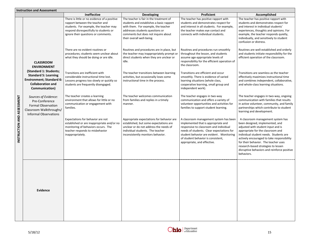|                            | <b>Instruction and Assessment</b>                                                                                              |                                                                                                                                                                                                            |                                                                                                                                                                                                                                   |                                                                                                                                                                                                                                                                                       |                                                                                                                                                                                                                                                                                                                                                                                     |
|----------------------------|--------------------------------------------------------------------------------------------------------------------------------|------------------------------------------------------------------------------------------------------------------------------------------------------------------------------------------------------------|-----------------------------------------------------------------------------------------------------------------------------------------------------------------------------------------------------------------------------------|---------------------------------------------------------------------------------------------------------------------------------------------------------------------------------------------------------------------------------------------------------------------------------------|-------------------------------------------------------------------------------------------------------------------------------------------------------------------------------------------------------------------------------------------------------------------------------------------------------------------------------------------------------------------------------------|
|                            |                                                                                                                                | <b>Ineffective</b>                                                                                                                                                                                         | Developing                                                                                                                                                                                                                        | <b>Proficient</b>                                                                                                                                                                                                                                                                     | Accomplished                                                                                                                                                                                                                                                                                                                                                                        |
|                            |                                                                                                                                | There is little or no evidence of a positive<br>rapport between the teacher and<br>students. For example, the teacher may<br>respond disrespectfully to students or<br>ignore their questions or comments. | The teacher is fair in the treatment of<br>students and establishes a basic rapport<br>with them. For example, the teacher<br>addresses students questions or<br>comments but does not inquire about<br>their overall well-being. | The teacher has positive rapport with<br>students and demonstrates respect for<br>and interest in all students. For example,<br>the teacher makes eye contact and<br>connects with individual students.                                                                               | The teacher has positive rapport with<br>students and demonstrates respect for<br>and interest in individual students'<br>experiences, thoughts and opinions. For<br>example, the teacher responds quietly,<br>individually, and sensitively to student<br>confusion or distress.                                                                                                   |
|                            | <b>CLASSROOM</b><br><b>ENVIRONMENT</b><br>(Standard 1: Students;                                                               | There are no evident routines or<br>procedures; students seem unclear about<br>what they should be doing or are idle.                                                                                      | Routines and procedures are in place, but<br>the teacher may inappropriately prompt or<br>direct students when they are unclear or<br>idle.                                                                                       | Routines and procedures run smoothly<br>throughout the lesson, and students<br>assume age-appropriate levels of<br>responsibility for the efficient operation of<br>the classroom.                                                                                                    | Routines are well-established and orderly<br>and students initiate responsibility for the<br>efficient operation of the classroom.                                                                                                                                                                                                                                                  |
|                            | <b>Standard 5: Learning</b><br><b>Environment; Standard 6:</b><br><b>Collaboration and</b><br>Communication)                   | Transitions are inefficient with<br>considerable instructional time lost.<br>Lessons progress too slowly or quickly so<br>students are frequently disengaged.                                              | The teacher transitions between learning<br>activities, but occasionally loses some<br>instructional time in the process.                                                                                                         | Transitions are efficient and occur<br>smoothly. There is evidence of varied<br>learning situations (whole class,<br>cooperative learning, small group and<br>independent work).                                                                                                      | Transitions are seamless as the teacher<br>effectively maximizes instructional time<br>and combines independent, collaborative,<br>and whole-class learning situations.                                                                                                                                                                                                             |
|                            | Sources of Evidence:<br>Pre-Conference<br><b>Formal Observation</b><br>Classroom Walkthroughs/<br><b>Informal Observations</b> | The teacher creates a learning<br>environment that allows for little or no<br>communication or engagement with<br>families.                                                                                | The teacher welcomes communication<br>from families and replies in a timely<br>manner.                                                                                                                                            | The teacher engages in two-way<br>communication and offers a variety of<br>volunteer opportunities and activities for<br>families to support student learning.                                                                                                                        | The teacher engages in two-way, ongoing<br>communication with families that results<br>in active volunteer, community, and family<br>partnerships which contribute to student<br>learning and development.                                                                                                                                                                          |
| INSTRUCTION AND ASSESSMENT |                                                                                                                                | Expectations for behavior are not<br>established or are inappropriate and/or no<br>monitoring of behaviors occurs. The<br>teacher responds to misbehavior<br>inappropriately.                              | Appropriate expectations for behavior are<br>established, but some expectations are<br>unclear or do not address the needs of<br>individual students. The teacher<br>inconsistently monitors behavior.                            | A classroom management system has been<br>implemented that is appropriate and<br>responsive to classroom and individual<br>needs of students. Clear expectations for<br>student behavior are evident. Monitoring<br>of student behavior is consistent,<br>appropriate, and effective. | A classroom management system has<br>been designed, implemented, and<br>adjusted with student input and is<br>appropriate for the classroom and<br>individual student needs. Students are<br>actively encouraged to take responsibility<br>for their behavior. The teacher uses<br>research-based strategies to lessen<br>disruptive behaviors and reinforce positive<br>behaviors. |
|                            | <b>Evidence</b>                                                                                                                |                                                                                                                                                                                                            |                                                                                                                                                                                                                                   |                                                                                                                                                                                                                                                                                       |                                                                                                                                                                                                                                                                                                                                                                                     |
|                            |                                                                                                                                |                                                                                                                                                                                                            |                                                                                                                                                                                                                                   |                                                                                                                                                                                                                                                                                       |                                                                                                                                                                                                                                                                                                                                                                                     |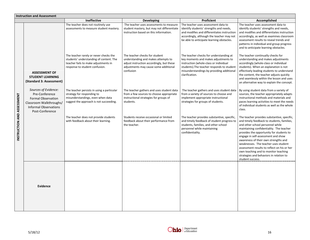|                            | <b>Instruction and Assessment</b>                                                                                                                 |                                                                                                                                                             |                                                                                                                                                                          |                                                                                                                                                                                                                                        |                                                                                                                                                                                                                                                                                                                                                                                                                                                                                                   |
|----------------------------|---------------------------------------------------------------------------------------------------------------------------------------------------|-------------------------------------------------------------------------------------------------------------------------------------------------------------|--------------------------------------------------------------------------------------------------------------------------------------------------------------------------|----------------------------------------------------------------------------------------------------------------------------------------------------------------------------------------------------------------------------------------|---------------------------------------------------------------------------------------------------------------------------------------------------------------------------------------------------------------------------------------------------------------------------------------------------------------------------------------------------------------------------------------------------------------------------------------------------------------------------------------------------|
|                            |                                                                                                                                                   | <b>Ineffective</b>                                                                                                                                          | <b>Developing</b>                                                                                                                                                        | <b>Proficient</b>                                                                                                                                                                                                                      | Accomplished                                                                                                                                                                                                                                                                                                                                                                                                                                                                                      |
|                            |                                                                                                                                                   | The teacher does not routinely use<br>assessments to measure student mastery.                                                                               | The teacher uses assessments to measure<br>student mastery, but may not differentiate<br>instruction based on this information.                                          | The teacher uses assessment data to<br>identify students' strengths and needs,<br>and modifies and differentiates instruction<br>accordingly, although the teacher may not<br>be able to anticipate learning obstacles.                | The teacher uses assessment data to<br>identify students' strengths and needs,<br>and modifies and differentiates instruction<br>accordingly, as well as examines classroom<br>assessment results to reveal trends and<br>patterns in individual and group progress<br>and to anticipate learning obstacles.                                                                                                                                                                                      |
|                            | <b>ASSESSMENT OF</b><br><b>STUDENT LEARNING</b><br>(Standard 3: Assessment)                                                                       | The teacher rarely or never checks the<br>students' understanding of content. The<br>teacher fails to make adjustments in<br>response to student confusion. | The teacher checks for student<br>understanding and makes attempts to<br>adjust instruction accordingly, but these<br>adjustments may cause some additional<br>confusion | The teacher checks for understanding at<br>key moments and makes adjustments to<br>instruction (whole-class or individual<br>students). The teacher responds to student<br>misunderstandings by providing additional<br>clarification. | The teacher continually checks for<br>understanding and makes adjustments<br>accordingly (whole-class or individual<br>students). When an explanation is not<br>effectively leading students to understand<br>the content, the teacher adjusts quickly<br>and seamlessly within the lesson and uses<br>an alternative way to explain the concept.                                                                                                                                                 |
|                            | Sources of Evidence:<br>Pre-Conference<br><b>Formal Observation</b><br>Classroom Walkthroughs/<br><b>Informal Observations</b><br>Post-Conference | The teacher persists in using a particular<br>strategy for responding to<br>misunderstandings, even when data<br>suggest the approach is not succeeding.    | The teacher gathers and uses student data<br>from a few sources to choose appropriate<br>instructional strategies for groups of<br>students.                             | The teacher gathers and uses student data<br>from a variety of sources to choose and<br>implement appropriate instructional<br>strategies for groups of students.                                                                      | By using student data from a variety of<br>sources, the teacher appropriately adapts<br>instructional methods and materials and<br>paces learning activities to meet the needs<br>of individual students as well as the whole<br>class.                                                                                                                                                                                                                                                           |
| INSTRUCTION AND ASSESSMENT |                                                                                                                                                   | The teacher does not provide students<br>with feedback about their learning.                                                                                | Students receive occasional or limited<br>feedback about their performance from<br>the teacher.                                                                          | The teacher provides substantive, specific,<br>and timely feedback of student progress to<br>students, families, and other school<br>personnel while maintaining<br>confidentiality.                                                   | The teacher provides substantive, specific,<br>and timely feedback to students, families,<br>and other school personnel while<br>maintaining confidentiality. The teacher<br>provides the opportunity for students to<br>engage in self-assessment and show<br>awareness of their own strengths and<br>weaknesses. The teacher uses student<br>assessment results to reflect on his or her<br>own teaching and to monitor teaching<br>strategies and behaviors in relation to<br>student success. |
|                            | Evidence                                                                                                                                          |                                                                                                                                                             |                                                                                                                                                                          |                                                                                                                                                                                                                                        |                                                                                                                                                                                                                                                                                                                                                                                                                                                                                                   |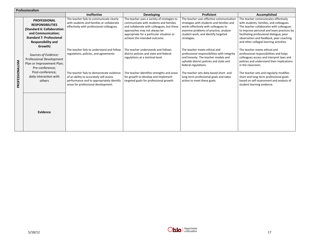|                 | Professionalism                                                                                                                                                            |                                                                                                                                                                                                                                                                  |                                                                                                                                                                                                                                                   |                                                                                                                                                                                                                                                                                                            |                                                                                                                                                                                                                                                                                                                                                        |
|-----------------|----------------------------------------------------------------------------------------------------------------------------------------------------------------------------|------------------------------------------------------------------------------------------------------------------------------------------------------------------------------------------------------------------------------------------------------------------|---------------------------------------------------------------------------------------------------------------------------------------------------------------------------------------------------------------------------------------------------|------------------------------------------------------------------------------------------------------------------------------------------------------------------------------------------------------------------------------------------------------------------------------------------------------------|--------------------------------------------------------------------------------------------------------------------------------------------------------------------------------------------------------------------------------------------------------------------------------------------------------------------------------------------------------|
|                 |                                                                                                                                                                            | <b>Ineffective</b>                                                                                                                                                                                                                                               | <b>Developing</b>                                                                                                                                                                                                                                 | <b>Proficient</b>                                                                                                                                                                                                                                                                                          | Accomplished                                                                                                                                                                                                                                                                                                                                           |
|                 | <b>PROFESSIONAL</b><br><b>RESPONSIBILITIES</b><br>(Standard 6: Collaboration<br>and Communication;<br><b>Standard 7: Professional</b><br><b>Responsibility and</b>         | The teacher fails to communicate clearly<br>with students and families or collaborate<br>effectively with professional colleagues.                                                                                                                               | The teacher uses a variety of strategies to<br>communicate with students and families<br>and collaborate with colleagues, but these<br>approaches may not always be<br>appropriate for a particular situation or<br>achieve the intended outcome. | The teacher uses effective communication<br>strategies with students and families and<br>works effectively with colleagues to<br>examine problems of practice, analyze<br>student work, and identify targeted<br>strategies.                                                                               | The teacher communicates effectively<br>with students, families, and colleagues.<br>The teacher collaborates with colleagues<br>to improve personal and team practices by<br>facilitating professional dialogue, peer<br>observation and feedback, peer coaching<br>and other collegial learning activities.                                           |
| PROFESSIONALISM | Growth)<br>Sources of Evidence:<br><b>Professional Development</b><br>Plan or Improvement Plan;<br>Pre-conference;<br>Post-conference;<br>daily interaction with<br>others | The teacher fails to understand and follow<br>regulations, policies, and agreements.<br>The teacher fails to demonstrate evidence<br>of an ability to accurately self-assess<br>performance and to appropriately identify<br>areas for professional development. | The teacher understands and follows<br>district policies and state and federal<br>regulations at a minimal level.<br>The teacher identifies strengths and areas<br>for growth to develop and implement<br>targeted goals for professional growth. | The teacher meets ethical and<br>professional responsibilities with integrity<br>and honesty. The teacher models and<br>upholds district policies and state and<br>federal regulations.<br>The teacher sets data-based short- and<br>long-term professional goals and takes<br>action to meet these goals. | The teacher meets ethical and<br>professional responsibilities and helps<br>colleagues access and interpret laws and<br>policies and understand their implications<br>in the classroom.<br>The teacher sets and regularly modifies<br>short-and long-term professional goals<br>based on self-assessment and analysis of<br>student learning evidence. |
|                 | Evidence                                                                                                                                                                   |                                                                                                                                                                                                                                                                  |                                                                                                                                                                                                                                                   |                                                                                                                                                                                                                                                                                                            |                                                                                                                                                                                                                                                                                                                                                        |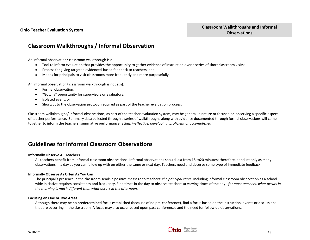## **Classroom Walkthroughs / Informal Observation**

An informal observation/ classroom walkthrough is a:

- $\bullet$ Tool to inform evaluation that provides the opportunity to gather evidence of instruction over a series of short classroom visits;
- $\bullet$ Process for giving targeted evidenced-based feedback to teachers; and
- $\bullet$ Means for principals to visit classrooms more frequently and more purposefully.

An informal observation/ classroom walkthrough is not a(n):

- $\bullet$ Formal observation;
- "Gotcha" opportunity for supervisors or evaluators;  $\bullet$
- Isolated event; or  $\bullet$
- Shortcut to the observation protocol required as part of the teacher evaluation process.  $\bullet$

Classroom walkthroughs/ Informal observations, as part of the teacher evaluation system, may be general in nature or focused on observing a specific aspect of teacher performance. Summary data collected through a series of walkthroughs along with evidence documented through formal observations will come together to inform the teachers' summative performance rating: *ineffective, developing, proficient or accomplished*.

## **Guidelines for Informal Classroom Observations**

#### **Informally Observe All Teachers**

All teachers benefit from informal classroom observations. Informal observations should last from 15 to20 minutes; therefore, conduct only as many observations in a day as you can follow up with on either the same or next day. Teachers need and deserve some type of immediate feedback.

#### **Informally Observe As Often As You Can**

The principal's presence in the classroom sends a positive message to teachers: *the principal cares*. Including informal classroom observation as a schoolwide initiative requires consistency and frequency. Find times in the day to observe teachers at varying times of the day: *for most teachers, what occurs in the morning is much different than what occurs in the afternoon.* 

#### **Focusing on One or Two Areas**

Although there may be no predetermined focus established (because of no pre-conference), find a focus based on the instruction, events or discussions that are occurring in the classroom. A focus may also occur based upon past conferences and the need for follow up observations.

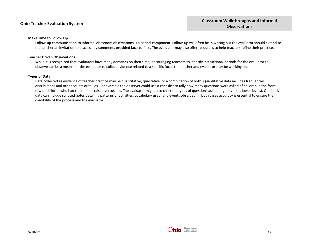#### **Make Time to Follow Up**

Follow-up communication to informal classroom observations is a critical component. Follow-up will often be in writing but the evaluator should extend to the teacher an invitation to discuss any comments provided face-to-face. The evaluator may also offer resources to help teachers refine their practice.

#### **Teacher Driven Observations**

While it is recognized that evaluators have many demands on their time, encouraging teachers to identify instructional periods for the evaluator to observe can be a means for the evaluator to collect evidence related to a specific focus the teacher and evaluator may be working on.

#### **Types of Data**

Data collected as evidence of teacher practice may be quantitative, qualitative, or a combination of both. Quantitative data includes frequencies, distributions and other counts or tallies. For example the observer could use a checklist to tally how many questions were asked of children in the front row or children who had their hands raised versus not. The evaluator might also chart the types of questions asked (higher versus lower levels). Qualitative data can include scripted notes detailing patterns of activities, vocabulary used, and events observed. In both cases accuracy is essential to ensure the credibility of the process and the evaluator.

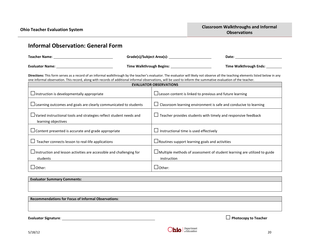## **Informal Observation: General Form Teacher Name**: **Grade(s)/Subject Area(s): Date: Evaluator Name: Time Walkthrough Begins: Time Walkthrough Ends: Directions:** This form serves as a record of an informal walkthrough by the teacher's evaluator. The evaluator will likely not observe all the teaching elements listed below in any one informal observation. This record, along with records of additional informal observations, will be used to inform the summative evaluation of the teacher. **EVALUATOR OBSERVATIONS**  $\Box$ Instruction is developmentally appropriate  $|\Box$  Lesson content is linked to previous and future learning  $\Box$ Learning outcomes and goals are clearly communicated to students  $\Box$  Classroom learning environment is safe and conducive to learning  $\Box$  Varied instructional tools and strategies reflect student needs and learning objectives  $\square$  Teacher provides students with timely and responsive feedback  $\Box$  Content presented is accurate and grade appropriate  $\Box$  Instructional time is used effectively □ Teacher connects lesson to real-life applications  $□$ Routines support learning goals and activities  $\square$ Instruction and lesson activities are accessible and challenging for students  $\square$  Multiple methods of assessment of student learning are utilized to guide instruction  $\Box$ Other:  $\Box$

**Evaluator Summary Comments: Recommendations for Focus of Informal Observations**:

**Evaluator Signature**: □**Photocopy to Teacher**

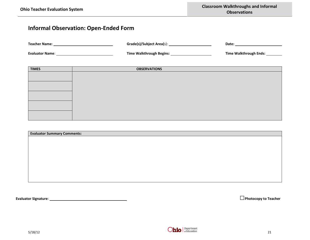## **Informal Observation: Open-Ended Form**

| Teacher Name:          |                                 | Date:                         |
|------------------------|---------------------------------|-------------------------------|
| <b>Evaluator Name:</b> | <b>Time Walkthrough Begins:</b> | <b>Time Walkthrough Ends:</b> |
|                        |                                 |                               |
| <b>TIMES</b>           | <b>OBSERVATIONS</b>             |                               |

| <b>Evaluator Summary Comments:</b> |  |  |
|------------------------------------|--|--|
|                                    |  |  |
|                                    |  |  |
|                                    |  |  |
|                                    |  |  |
|                                    |  |  |
|                                    |  |  |
|                                    |  |  |
|                                    |  |  |

**Evaluator Signature**: □**Photocopy to Teacher**

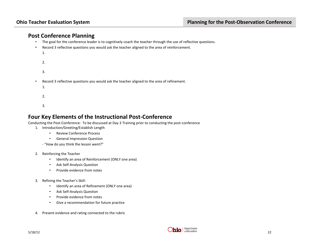## **Post Conference Planning**

- The goal for the conference leader is to cognitively coach the teacher through the use of reflective questions.
- Record 3 reflective questions you would ask the teacher aligned to the area of reinforcement.
	- 1.
	- 2.
	- 3.
- Record 3 reflective questions you would ask the teacher aligned to the area of refinement.
	- 1.
	-
	- 2.
	- 3.

## **Four Key Elements of the Instructional Post-Conference**

Conducting the Post-Conference: To be discussed at Day 3 Training prior to conducting the post-conference

- 1. Introduction/Greeting/Establish Length
	- Review Conference Process
	- General Impression Question

- "How do you think the lesson went?"

- 2. Reinforcing the Teacher
	- Identify an area of Reinforcement (ONLY one area)
	- Ask Self-Analysis Question
	- Provide evidence from notes
- 3. Refining the Teacher's Skill:
	- Identify an area of Refinement (ONLY one area)
	- Ask Self-Analysis Question
	- Provide evidence from notes
	- Give a recommendation for future practice
- 4. Present evidence and rating connected to the rubric